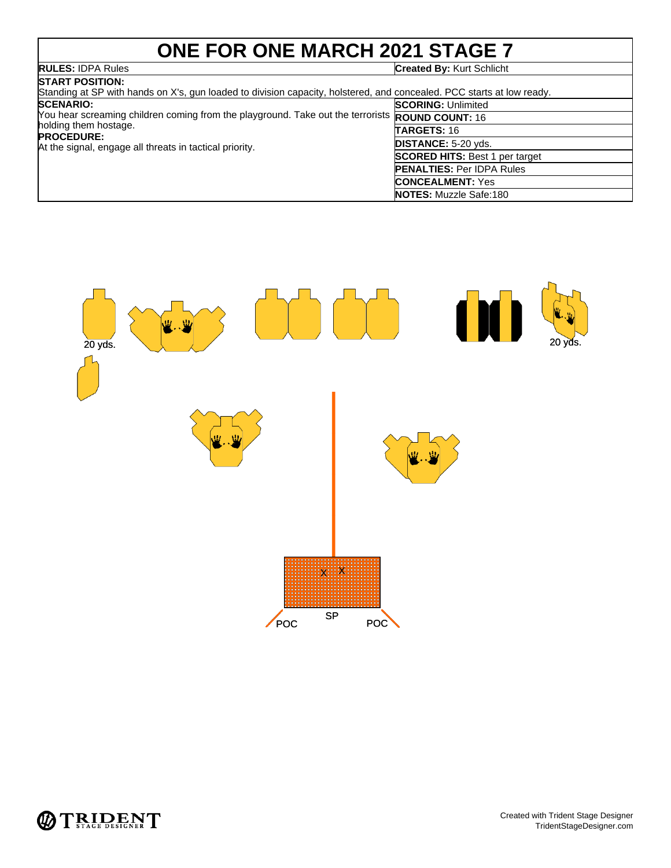# **ONE FOR ONE MARCH 2021 STAGE 7**

## **RULES:** IDPA Rules **Created By:** Kurt Schlicht

| <b>ISTART POSITION:</b>                                                                                                                                                                                                                                                                                                                               |                                                                                                                                                                                                                 |
|-------------------------------------------------------------------------------------------------------------------------------------------------------------------------------------------------------------------------------------------------------------------------------------------------------------------------------------------------------|-----------------------------------------------------------------------------------------------------------------------------------------------------------------------------------------------------------------|
| Standing at SP with hands on X's, gun loaded to division capacity, holstered, and concealed. PCC starts at low ready.<br><b>SCENARIO:</b><br>You hear screaming children coming from the playground. Take out the terrorists ROUND COUNT: 16<br>holding them hostage.<br><b>PROCEDURE:</b><br>At the signal, engage all threats in tactical priority. | <b>SCORING: Unlimited</b><br><b>TARGETS: 16</b><br>DISTANCE: 5-20 yds.<br><b>SCORED HITS: Best 1 per target</b><br><b>PENALTIES: Per IDPA Rules</b><br><b>CONCEALMENT: Yes</b><br><b>NOTES:</b> Muzzle Safe:180 |



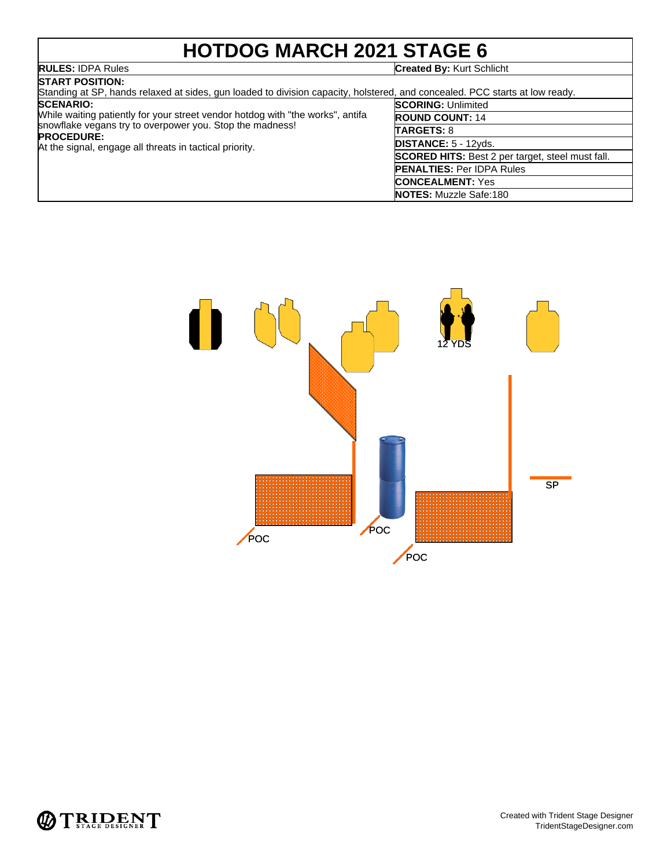# **HOTDOG MARCH 2021 STAGE 6**

## **RULES:** IDPA Rules **Created By:** Kurt Schlicht

| <b>ISTART POSITION:</b><br>Standing at SP, hands relaxed at sides, gun loaded to division capacity, holstered, and concealed. PCC starts at low ready. |                                                         |
|--------------------------------------------------------------------------------------------------------------------------------------------------------|---------------------------------------------------------|
| <b>SCENARIO:</b>                                                                                                                                       | <b>SCORING: Unlimited</b>                               |
| While waiting patiently for your street vendor hotdog with "the works", antifa                                                                         | <b>ROUND COUNT: 14</b>                                  |
| snowflake vegans try to overpower you. Stop the madness!<br><b>PROCEDURE:</b><br>At the signal, engage all threats in tactical priority.               | <b>TARGETS: 8</b>                                       |
|                                                                                                                                                        | <b>DISTANCE:</b> $5 - 12yds$ .                          |
|                                                                                                                                                        | <b>SCORED HITS:</b> Best 2 per target, steel must fall. |
|                                                                                                                                                        | <b>PENALTIES: Per IDPA Rules</b>                        |
|                                                                                                                                                        | <b>CONCEALMENT: Yes</b>                                 |
|                                                                                                                                                        |                                                         |



**NOTES:** Muzzle Safe:180

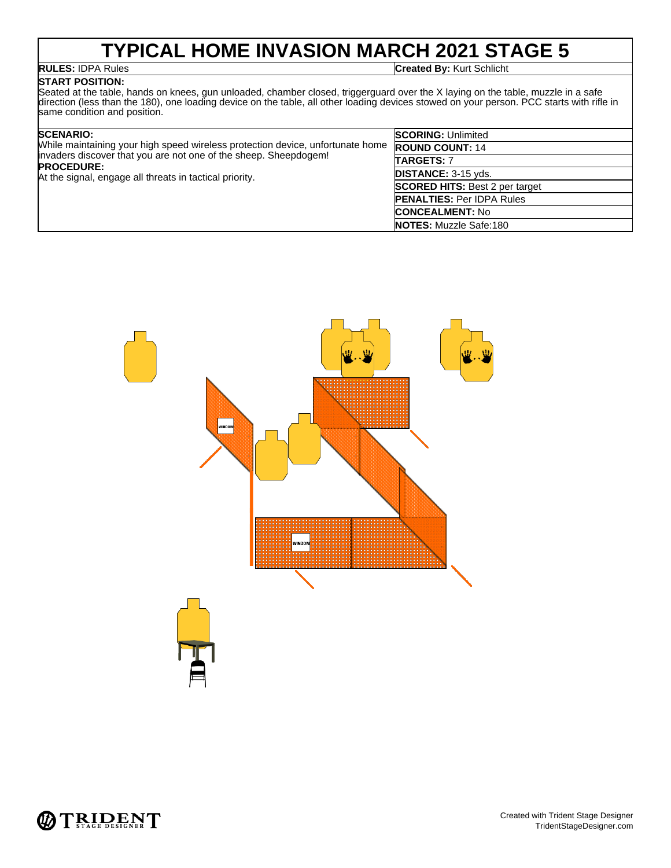# **TYPICAL HOME INVASION MARCH 2021 STAGE 5**

## **START POSITION:**

**RULES:** IDPA Rules **Created By:** Kurt Schlicht

### Seated at the table, hands on knees, gun unloaded, chamber closed, triggerguard over the X laying on the table, muzzle in a safe direction (less than the 180), one loading device on the table, all other loading devices stowed on your person. PCC starts with rifle in same condition and position.

| <b>SCENARIO:</b><br>While maintaining your high speed wireless protection device, unfortunate home<br>invaders discover that you are not one of the sheep. Sheepdogem!<br><b>PROCEDURE:</b><br>At the signal, engage all threats in tactical priority. | <b>SCORING: Unlimited</b>             |
|--------------------------------------------------------------------------------------------------------------------------------------------------------------------------------------------------------------------------------------------------------|---------------------------------------|
|                                                                                                                                                                                                                                                        | <b>ROUND COUNT: 14</b>                |
|                                                                                                                                                                                                                                                        | <b>TARGETS: 7</b>                     |
|                                                                                                                                                                                                                                                        | <b>DISTANCE: 3-15 yds.</b>            |
|                                                                                                                                                                                                                                                        | <b>SCORED HITS: Best 2 per target</b> |
|                                                                                                                                                                                                                                                        | <b>PENALTIES: Per IDPA Rules</b>      |
|                                                                                                                                                                                                                                                        | <b>CONCEALMENT: No</b>                |
|                                                                                                                                                                                                                                                        | <b>NOTES:</b> Muzzle Safe:180         |



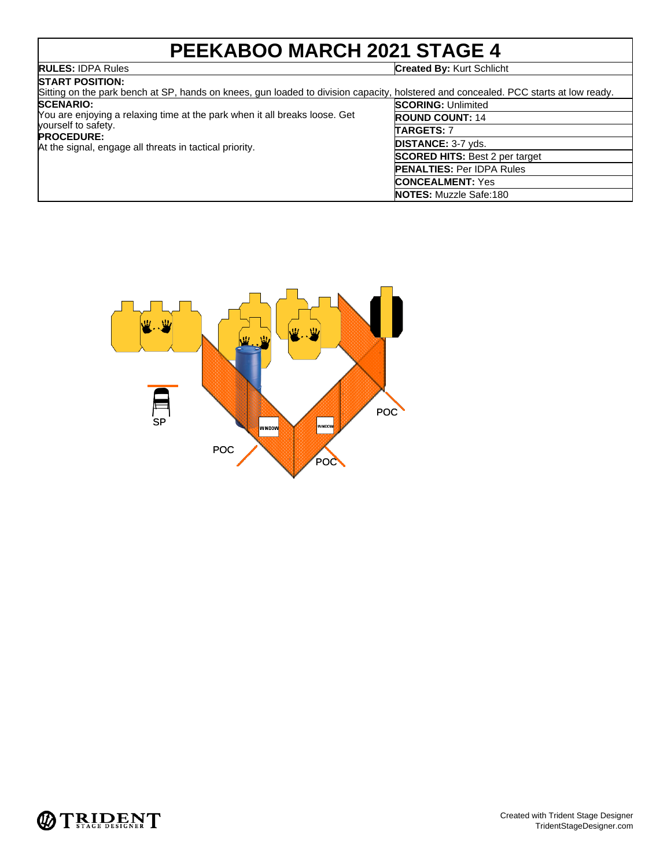# **PEEKABOO MARCH 2021 STAGE 4**

## **RULES:** IDPA Rules **Created By:** Kurt Schlicht

| <b>START POSITION:</b>                                                                                                                                                            |                                       |
|-----------------------------------------------------------------------------------------------------------------------------------------------------------------------------------|---------------------------------------|
| Sitting on the park bench at SP, hands on knees, gun loaded to division capacity, holstered and concealed. PCC starts at low ready.                                               |                                       |
| <b>SCENARIO:</b>                                                                                                                                                                  | <b>SCORING: Unlimited</b>             |
| You are enjoying a relaxing time at the park when it all breaks loose. Get<br>vourself to safety.<br><b>PROCEDURE:</b><br>At the signal, engage all threats in tactical priority. | <b>ROUND COUNT: 14</b>                |
|                                                                                                                                                                                   | TARGETS: 7                            |
|                                                                                                                                                                                   | <b>DISTANCE: 3-7 yds.</b>             |
|                                                                                                                                                                                   | <b>SCORED HITS: Best 2 per target</b> |
|                                                                                                                                                                                   | <b>PENALTIES: Per IDPA Rules</b>      |
|                                                                                                                                                                                   | <b>CONCEALMENT: Yes</b>               |
|                                                                                                                                                                                   | <b>NOTES:</b> Muzzle Safe:180         |



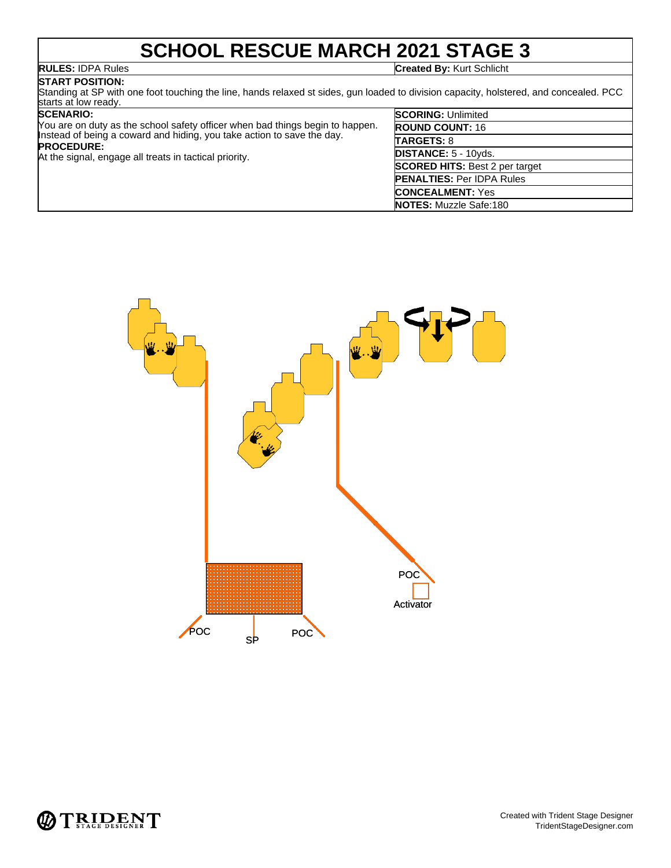# **SCHOOL RESCUE MARCH 2021 STAGE 3**

**RULES:** IDPA Rules **Created By:** Kurt Schlicht

## **START POSITION:**

Standing at SP with one foot touching the line, hands relaxed st sides, gun loaded to division capacity, holstered, and concealed. PCC starts at low ready.

## **SCENARIO:**

| You are on duty as the school safety officer when bad things begin to happen.<br>Instead of being a coward and hiding, you take action to save the day. | <b>ROU</b><br><b>TAR</b> |
|---------------------------------------------------------------------------------------------------------------------------------------------------------|--------------------------|
| <b>PROCEDURE:</b><br>At the signal, engage all treats in tactical priority.                                                                             | <b>DIST</b>              |
|                                                                                                                                                         | <b>SCO</b>               |
|                                                                                                                                                         | <b>PEN</b>               |

| <b>SCORING: Unlimited</b>             |
|---------------------------------------|
| <b>ROUND COUNT: 16</b>                |
| <b>TARGETS: 8</b>                     |
| DISTANCE: 5 - 10yds.                  |
| <b>SCORED HITS: Best 2 per target</b> |
| <b>PENALTIES: Per IDPA Rules</b>      |
| <b>CONCEALMENT: Yes</b>               |
| <b>NOTES: Muzzle Safe:180</b>         |



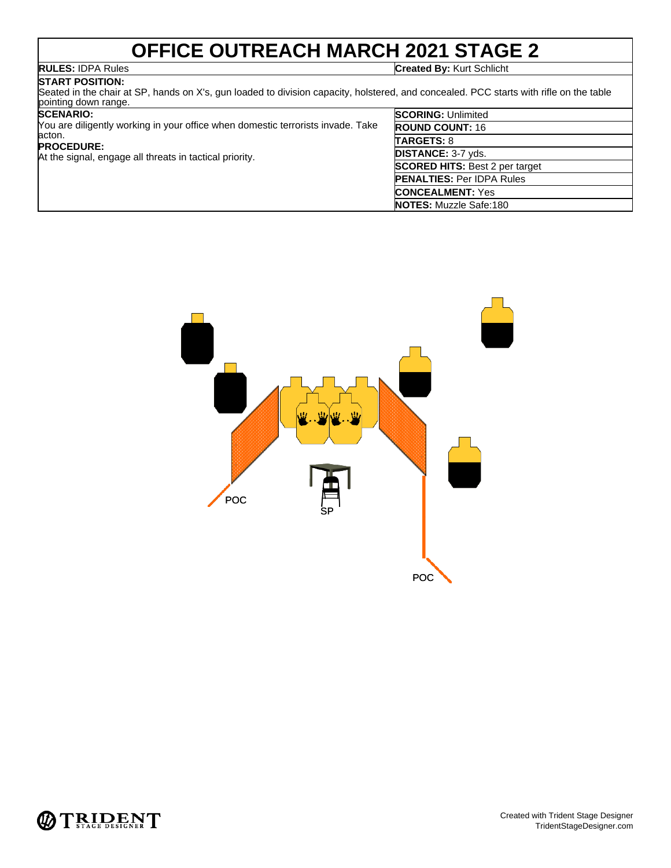# **OFFICE OUTREACH MARCH 2021 STAGE 2**

**RULES:** IDPA Rules **Created By:** Kurt Schlicht

### **START POSITION:** Seated in the chair at SP, hands on X's, gun loaded to division capacity, holstered, and concealed. PCC starts with rifle on the table pointing down range.

## **SCENARIO:**

| <b>SCENARIO:</b><br>You are diligently working in your office when domestic terrorists invade. Take<br>acton.<br><b>PROCEDURE:</b><br>At the signal, engage all threats in tactical priority. | <b>SCORING: Unlimited</b>             |
|-----------------------------------------------------------------------------------------------------------------------------------------------------------------------------------------------|---------------------------------------|
|                                                                                                                                                                                               | <b>ROUND COUNT: 16</b>                |
|                                                                                                                                                                                               | <b>TARGETS: 8</b>                     |
|                                                                                                                                                                                               | <b>DISTANCE: 3-7 yds.</b>             |
|                                                                                                                                                                                               | <b>SCORED HITS: Best 2 per target</b> |
|                                                                                                                                                                                               | <b>PENALTIES: Per IDPA Rules</b>      |
|                                                                                                                                                                                               | <b>CONCEALMENT: Yes</b>               |
|                                                                                                                                                                                               | <b>NOTES: Muzzle Safe:180</b>         |